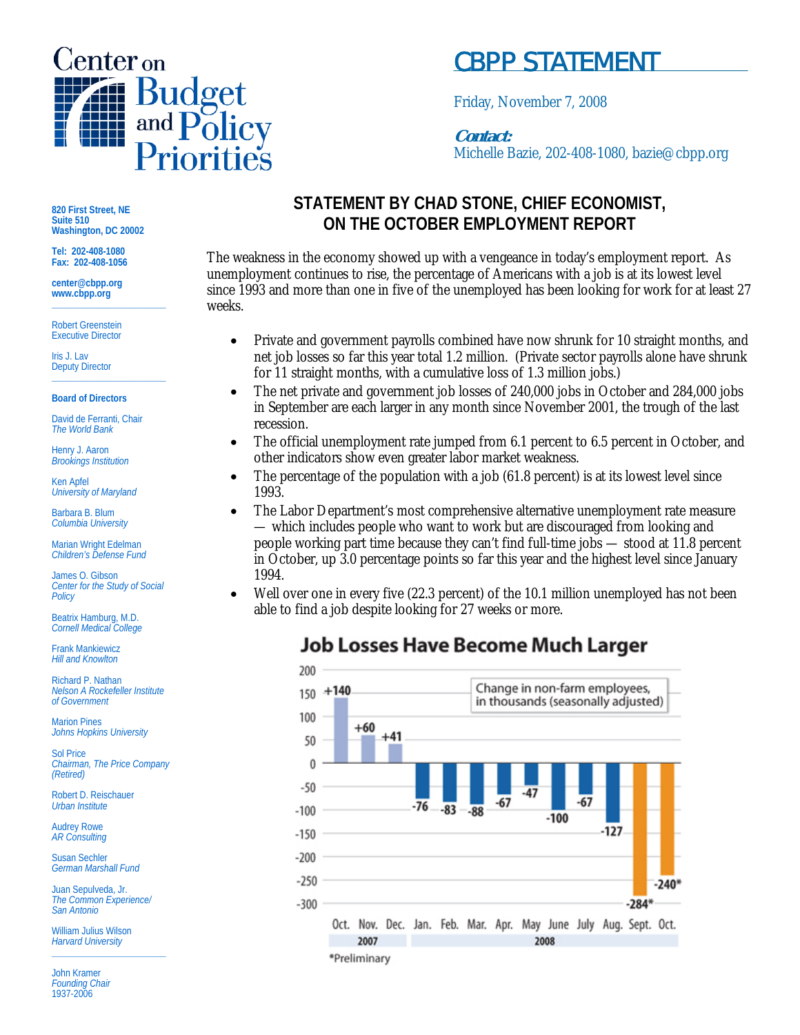

# CBPP STATEMENT

Friday, November 7, 2008

### **Contact:**

Michelle Bazie, 202-408-1080, bazie@cbpp.org

**820 First Street, NE Suite 510 Washington, DC 20002** 

**Tel: 202-408-1080 Fax: 202-408-1056** 

**center@cbpp.org www.cbpp.org \_\_\_\_\_\_\_\_\_\_\_\_\_\_\_\_\_\_\_\_\_\_\_\_** 

Robert Greenstein Executive Director

Iris J. Lav **Deputy Director**<br>
————————————————————

#### **Board of Directors**

David de Ferranti, Chair *The World Bank* 

Henry J. Aaron *Brookings Institution* 

Ken Apfel *University of Maryland* 

Barbara B. Blum *Columbia University* 

Marian Wright Edelman *Children's Defense Fund* 

James O. Gibson *Center for the Study of Social Policy* 

Beatrix Hamburg, M.D. *Cornell Medical College* 

Frank Mankiewicz *Hill and Knowlton* 

Richard P. Nathan *Nelson A Rockefeller Institute of Government* 

Marion Pines *Johns Hopkins University* 

Sol Price *Chairman, The Price Company (Retired)* 

Robert D. Reischauer *Urban Institute* 

Audrey Rowe *AR Consulting* 

Susan Sechler *German Marshall Fund* 

Juan Sepulveda, Jr. *The Common Experience/ San Antonio* 

William Julius Wilson *Harvard University*  **\_\_\_\_\_\_\_\_\_\_\_\_\_\_\_\_\_\_\_\_\_\_\_\_** 

John Kramer *Founding Chair*  1937-2006

### **STATEMENT BY CHAD STONE, CHIEF ECONOMIST, ON THE OCTOBER EMPLOYMENT REPORT**

The weakness in the economy showed up with a vengeance in today's employment report. As unemployment continues to rise, the percentage of Americans with a job is at its lowest level since 1993 and more than one in five of the unemployed has been looking for work for at least 27 weeks.

- Private and government payrolls combined have now shrunk for 10 straight months, and net job losses so far this year total 1.2 million. (Private sector payrolls alone have shrunk for 11 straight months, with a cumulative loss of 1.3 million jobs.)
- The net private and government job losses of 240,000 jobs in October and 284,000 jobs in September are each larger in any month since November 2001, the trough of the last recession.
- The official unemployment rate jumped from 6.1 percent to 6.5 percent in October, and other indicators show even greater labor market weakness.
- The percentage of the population with a job (61.8 percent) is at its lowest level since 1993.
- The Labor Department's most comprehensive alternative unemployment rate measure — which includes people who want to work but are discouraged from looking and people working part time because they can't find full-time jobs — stood at 11.8 percent in October, up 3.0 percentage points so far this year and the highest level since January 1994.
- Well over one in every five (22.3 percent) of the 10.1 million unemployed has not been able to find a job despite looking for 27 weeks or more.

## **Job Losses Have Become Much Larger**